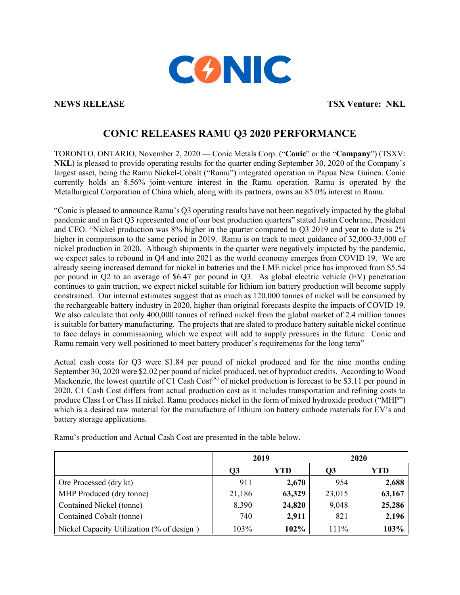

**NEWS RELEASE TSX Venture: NKL** 

## **CONIC RELEASES RAMU Q3 2020 PERFORMANCE**

TORONTO, ONTARIO, November 2, 2020 — Conic Metals Corp. ("**Conic**" or the "**Company**") (TSXV: **NKL**) is pleased to provide operating results for the quarter ending September 30, 2020 of the Company's largest asset, being the Ramu Nickel-Cobalt ("Ramu") integrated operation in Papua New Guinea. Conic currently holds an 8.56% joint-venture interest in the Ramu operation. Ramu is operated by the Metallurgical Corporation of China which, along with its partners, owns an 85.0% interest in Ramu.

"Conic is pleased to announce Ramu's Q3 operating results have not been negatively impacted by the global pandemic and in fact Q3 represented one of our best production quarters" stated Justin Cochrane, President and CEO. "Nickel production was 8% higher in the quarter compared to Q3 2019 and year to date is 2% higher in comparison to the same period in 2019. Ramu is on track to meet guidance of 32,000-33,000 of nickel production in 2020. Although shipments in the quarter were negatively impacted by the pandemic, we expect sales to rebound in Q4 and into 2021 as the world economy emerges from COVID 19. We are already seeing increased demand for nickel in batteries and the LME nickel price has improved from \$5.54 per pound in Q2 to an average of \$6.47 per pound in Q3. As global electric vehicle (EV) penetration continues to gain traction, we expect nickel suitable for lithium ion battery production will become supply constrained. Our internal estimates suggest that as much as 120,000 tonnes of nickel will be consumed by the rechargeable battery industry in 2020, higher than original forecasts despite the impacts of COVID 19. We also calculate that only 400,000 tonnes of refined nickel from the global market of 2.4 million tonnes is suitable for battery manufacturing. The projects that are slated to produce battery suitable nickel continue to face delays in commissioning which we expect will add to supply pressures in the future. Conic and Ramu remain very well positioned to meet battery producer's requirements for the long term"

Actual cash costs for Q3 were \$1.84 per pound of nickel produced and for the nine months ending September 30, 2020 were \$2.02 per pound of nickel produced, net of byproduct credits. According to Wood Mackenzie, the lowest quartile of C1 Cash Cost<sup>(A)</sup> of nickel production is forecast to be \$3.11 per pound in 2020. C1 Cash Cost differs from actual production cost as it includes transportation and refining costs to produce Class I or Class II nickel. Ramu produces nickel in the form of mixed hydroxide product ("MHP") which is a desired raw material for the manufacture of lithium ion battery cathode materials for EV's and battery storage applications.

|                                                         | 2019   |        | 2020   |        |
|---------------------------------------------------------|--------|--------|--------|--------|
|                                                         | Q3     | YTD    | O3     | YTD    |
| Ore Processed (dry kt)                                  | 911    | 2,670  | 954    | 2,688  |
| MHP Produced (dry tonne)                                | 21,186 | 63,329 | 23,015 | 63,167 |
| Contained Nickel (tonne)                                | 8,390  | 24,820 | 9,048  | 25,286 |
| Contained Cobalt (tonne)                                | 740    | 2,911  | 821    | 2,196  |
| Nickel Capacity Utilization (% of design <sup>1</sup> ) | 103%   | 102%   | 111%   | 103%   |

Ramu's production and Actual Cash Cost are presented in the table below.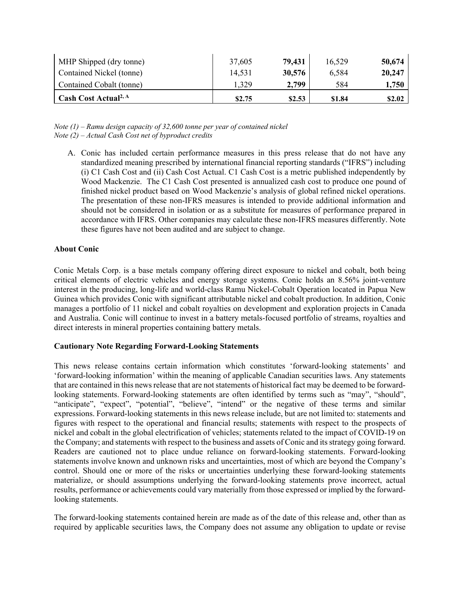| MHP Shipped (dry tonne)          | 37,605 | 79,431 | 16,529 | 50,674 |
|----------------------------------|--------|--------|--------|--------|
| Contained Nickel (tonne)         | 14,531 | 30,576 | 6,584  | 20,247 |
| Contained Cobalt (tonne)         | 1,329  | 2,799  | 584    | 1,750  |
| Cash Cost Actual <sup>2, A</sup> | \$2.75 | \$2.53 | \$1.84 | \$2.02 |

*Note (1) – Ramu design capacity of 32,600 tonne per year of contained nickel Note (2) – Actual Cash Cost net of byproduct credits*

A. Conic has included certain performance measures in this press release that do not have any standardized meaning prescribed by international financial reporting standards ("IFRS") including (i) C1 Cash Cost and (ii) Cash Cost Actual. C1 Cash Cost is a metric published independently by Wood Mackenzie. The C1 Cash Cost presented is annualized cash cost to produce one pound of finished nickel product based on Wood Mackenzie's analysis of global refined nickel operations. The presentation of these non-IFRS measures is intended to provide additional information and should not be considered in isolation or as a substitute for measures of performance prepared in accordance with IFRS. Other companies may calculate these non-IFRS measures differently. Note these figures have not been audited and are subject to change.

## **About Conic**

Conic Metals Corp. is a base metals company offering direct exposure to nickel and cobalt, both being critical elements of electric vehicles and energy storage systems. Conic holds an 8.56% joint-venture interest in the producing, long-life and world-class Ramu Nickel-Cobalt Operation located in Papua New Guinea which provides Conic with significant attributable nickel and cobalt production. In addition, Conic manages a portfolio of 11 nickel and cobalt royalties on development and exploration projects in Canada and Australia. Conic will continue to invest in a battery metals-focused portfolio of streams, royalties and direct interests in mineral properties containing battery metals.

## **Cautionary Note Regarding Forward-Looking Statements**

This news release contains certain information which constitutes 'forward-looking statements' and 'forward-looking information' within the meaning of applicable Canadian securities laws. Any statements that are contained in this news release that are not statements of historical fact may be deemed to be forwardlooking statements. Forward-looking statements are often identified by terms such as "may", "should", "anticipate", "expect", "potential", "believe", "intend" or the negative of these terms and similar expressions. Forward-looking statements in this news release include, but are not limited to: statements and figures with respect to the operational and financial results; statements with respect to the prospects of nickel and cobalt in the global electrification of vehicles; statements related to the impact of COVID-19 on the Company; and statements with respect to the business and assets of Conic and its strategy going forward. Readers are cautioned not to place undue reliance on forward-looking statements. Forward-looking statements involve known and unknown risks and uncertainties, most of which are beyond the Company's control. Should one or more of the risks or uncertainties underlying these forward-looking statements materialize, or should assumptions underlying the forward-looking statements prove incorrect, actual results, performance or achievements could vary materially from those expressed or implied by the forwardlooking statements.

The forward-looking statements contained herein are made as of the date of this release and, other than as required by applicable securities laws, the Company does not assume any obligation to update or revise